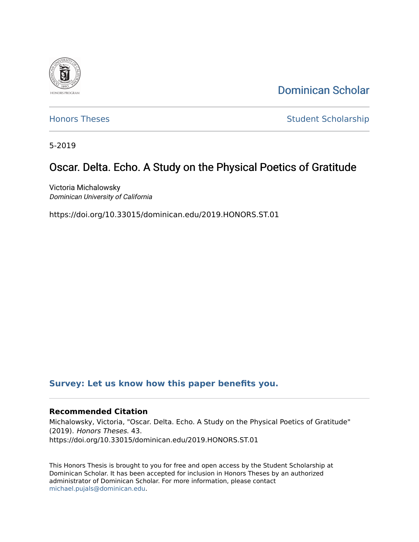

[Dominican Scholar](https://scholar.dominican.edu/) 

[Honors Theses](https://scholar.dominican.edu/honors-theses) **Student Scholarship** 

5-2019

# Oscar. Delta. Echo. A Study on the Physical Poetics of Gratitude

Victoria Michalowsky Dominican University of California

https://doi.org/10.33015/dominican.edu/2019.HONORS.ST.01

# **[Survey: Let us know how this paper benefits you.](https://dominican.libwizard.com/dominican-scholar-feedback)**

#### **Recommended Citation**

Michalowsky, Victoria, "Oscar. Delta. Echo. A Study on the Physical Poetics of Gratitude" (2019). Honors Theses. 43. https://doi.org/10.33015/dominican.edu/2019.HONORS.ST.01

This Honors Thesis is brought to you for free and open access by the Student Scholarship at Dominican Scholar. It has been accepted for inclusion in Honors Theses by an authorized administrator of Dominican Scholar. For more information, please contact [michael.pujals@dominican.edu.](mailto:michael.pujals@dominican.edu)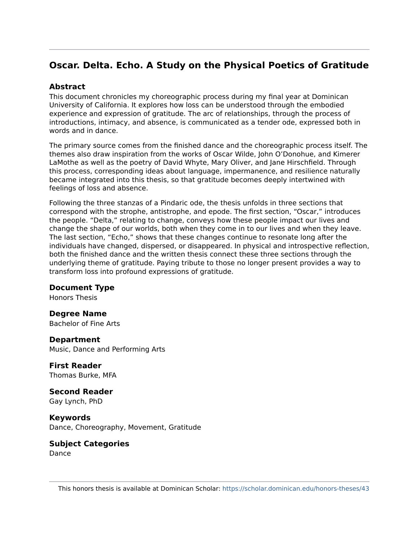# **Oscar. Delta. Echo. A Study on the Physical Poetics of Gratitude**

# **Abstract**

This document chronicles my choreographic process during my final year at Dominican University of California. It explores how loss can be understood through the embodied experience and expression of gratitude. The arc of relationships, through the process of introductions, intimacy, and absence, is communicated as a tender ode, expressed both in words and in dance.

The primary source comes from the finished dance and the choreographic process itself. The themes also draw inspiration from the works of Oscar Wilde, John O'Donohue, and Kimerer LaMothe as well as the poetry of David Whyte, Mary Oliver, and Jane Hirschfield. Through this process, corresponding ideas about language, impermanence, and resilience naturally became integrated into this thesis, so that gratitude becomes deeply intertwined with feelings of loss and absence.

Following the three stanzas of a Pindaric ode, the thesis unfolds in three sections that correspond with the strophe, antistrophe, and epode. The first section, "Oscar," introduces the people. "Delta," relating to change, conveys how these people impact our lives and change the shape of our worlds, both when they come in to our lives and when they leave. The last section, "Echo," shows that these changes continue to resonate long after the individuals have changed, dispersed, or disappeared. In physical and introspective reflection, both the finished dance and the written thesis connect these three sections through the underlying theme of gratitude. Paying tribute to those no longer present provides a way to transform loss into profound expressions of gratitude.

# **Document Type**

Honors Thesis

**Degree Name**  Bachelor of Fine Arts

**Department**  Music, Dance and Performing Arts

**First Reader**  Thomas Burke, MFA

**Second Reader**  Gay Lynch, PhD

**Keywords**  Dance, Choreography, Movement, Gratitude

**Subject Categories**  Dance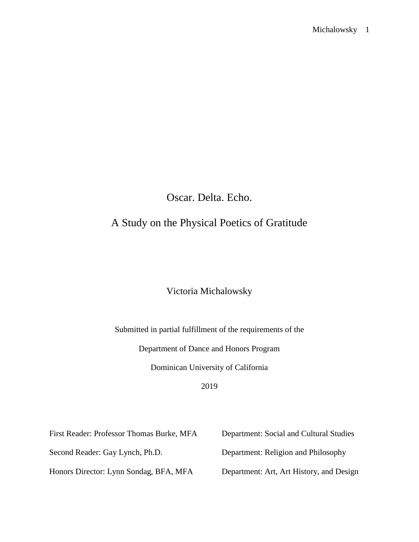Oscar. Delta. Echo.

# A Study on the Physical Poetics of Gratitude

# Victoria Michalowsky

Submitted in partial fulfillment of the requirements of the

Department of Dance and Honors Program

Dominican University of California

# 2019

| First Reader: Professor Thomas Burke, MFA | Department: Social and Cultural Studies  |
|-------------------------------------------|------------------------------------------|
| Second Reader: Gay Lynch, Ph.D.           | Department: Religion and Philosophy      |
| Honors Director: Lynn Sondag, BFA, MFA    | Department: Art, Art History, and Design |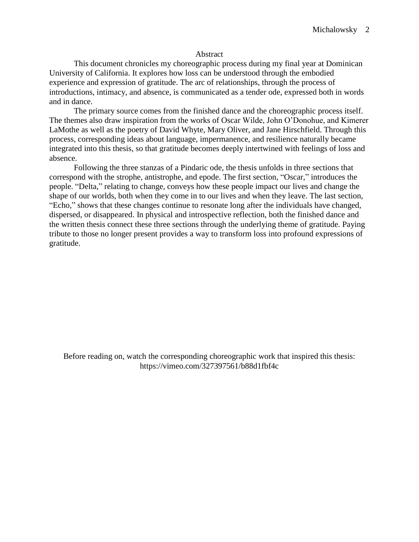#### Abstract

This document chronicles my choreographic process during my final year at Dominican University of California. It explores how loss can be understood through the embodied experience and expression of gratitude. The arc of relationships, through the process of introductions, intimacy, and absence, is communicated as a tender ode, expressed both in words and in dance.

The primary source comes from the finished dance and the choreographic process itself. The themes also draw inspiration from the works of Oscar Wilde, John O'Donohue, and Kimerer LaMothe as well as the poetry of David Whyte, Mary Oliver, and Jane Hirschfield. Through this process, corresponding ideas about language, impermanence, and resilience naturally became integrated into this thesis, so that gratitude becomes deeply intertwined with feelings of loss and absence.

Following the three stanzas of a Pindaric ode, the thesis unfolds in three sections that correspond with the strophe, antistrophe, and epode. The first section, "Oscar," introduces the people. "Delta," relating to change, conveys how these people impact our lives and change the shape of our worlds, both when they come in to our lives and when they leave. The last section, "Echo," shows that these changes continue to resonate long after the individuals have changed, dispersed, or disappeared. In physical and introspective reflection, both the finished dance and the written thesis connect these three sections through the underlying theme of gratitude. Paying tribute to those no longer present provides a way to transform loss into profound expressions of gratitude.

Before reading on, watch the corresponding choreographic work that inspired this thesis: https://vimeo.com/327397561/b88d1fbf4c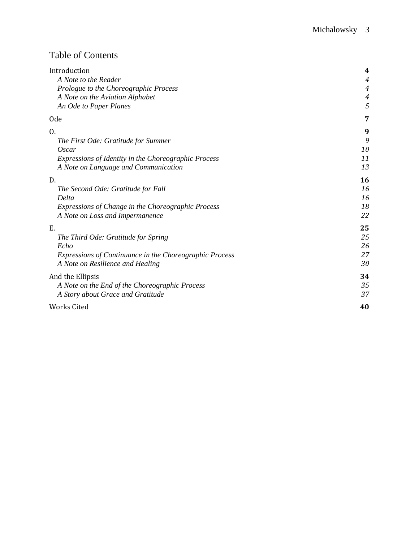# Table of Contents

| Introduction                                            | 4                |
|---------------------------------------------------------|------------------|
| A Note to the Reader                                    | $\boldsymbol{4}$ |
| Prologue to the Choreographic Process                   | $\overline{4}$   |
| A Note on the Aviation Alphabet                         | $\boldsymbol{4}$ |
| An Ode to Paper Planes                                  | 5                |
| 0de                                                     | 7                |
| 0.                                                      | 9                |
| The First Ode: Gratitude for Summer                     | 9                |
| Oscar                                                   | 10               |
| Expressions of Identity in the Choreographic Process    | 11               |
| A Note on Language and Communication                    | 13               |
| D.                                                      | 16               |
| The Second Ode: Gratitude for Fall                      | 16               |
| Delta                                                   | 16               |
| Expressions of Change in the Choreographic Process      | 18               |
| A Note on Loss and Impermanence                         | 22               |
| E.                                                      | 25               |
| The Third Ode: Gratitude for Spring                     | 25               |
| Echo                                                    | 26               |
| Expressions of Continuance in the Choreographic Process | 27               |
| A Note on Resilience and Healing                        | 30               |
| And the Ellipsis                                        | 34               |
| A Note on the End of the Choreographic Process          | 35               |
| A Story about Grace and Gratitude                       | 37               |
| Works Cited                                             | 40               |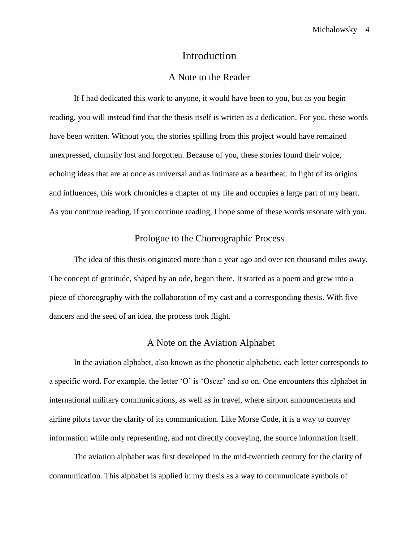# Introduction

# A Note to the Reader

If I had dedicated this work to anyone, it would have been to you, but as you begin reading, you will instead find that the thesis itself is written as a dedication. For you, these words have been written. Without you, the stories spilling from this project would have remained unexpressed, clumsily lost and forgotten. Because of you, these stories found their voice, echoing ideas that are at once as universal and as intimate as a heartbeat. In light of its origins and influences, this work chronicles a chapter of my life and occupies a large part of my heart. As you continue reading, if you continue reading, I hope some of these words resonate with you.

# Prologue to the Choreographic Process

The idea of this thesis originated more than a year ago and over ten thousand miles away. The concept of gratitude, shaped by an ode, began there. It started as a poem and grew into a piece of choreography with the collaboration of my cast and a corresponding thesis. With five dancers and the seed of an idea, the process took flight.

## A Note on the Aviation Alphabet

In the aviation alphabet, also known as the phonetic alphabetic, each letter corresponds to a specific word. For example, the letter 'O' is 'Oscar' and so on. One encounters this alphabet in international military communications, as well as in travel, where airport announcements and airline pilots favor the clarity of its communication. Like Morse Code, it is a way to convey information while only representing, and not directly conveying, the source information itself.

The aviation alphabet was first developed in the mid-twentieth century for the clarity of communication. This alphabet is applied in my thesis as a way to communicate symbols of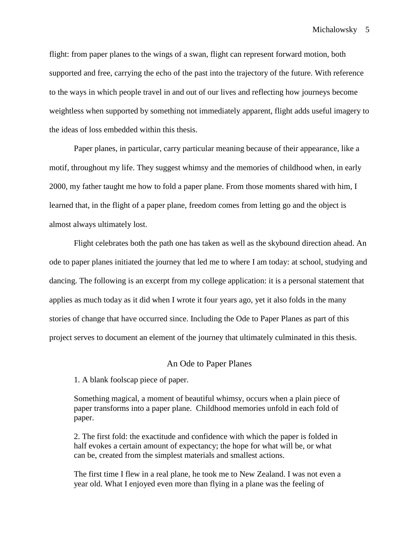flight: from paper planes to the wings of a swan, flight can represent forward motion, both supported and free, carrying the echo of the past into the trajectory of the future. With reference to the ways in which people travel in and out of our lives and reflecting how journeys become weightless when supported by something not immediately apparent, flight adds useful imagery to the ideas of loss embedded within this thesis.

Paper planes, in particular, carry particular meaning because of their appearance, like a motif, throughout my life. They suggest whimsy and the memories of childhood when, in early 2000, my father taught me how to fold a paper plane. From those moments shared with him, I learned that, in the flight of a paper plane, freedom comes from letting go and the object is almost always ultimately lost.

Flight celebrates both the path one has taken as well as the skybound direction ahead. An ode to paper planes initiated the journey that led me to where I am today: at school, studying and dancing. The following is an excerpt from my college application: it is a personal statement that applies as much today as it did when I wrote it four years ago, yet it also folds in the many stories of change that have occurred since. Including the Ode to Paper Planes as part of this project serves to document an element of the journey that ultimately culminated in this thesis.

#### An Ode to Paper Planes

1. A blank foolscap piece of paper.

Something magical, a moment of beautiful whimsy, occurs when a plain piece of paper transforms into a paper plane. Childhood memories unfold in each fold of paper.

2. The first fold: the exactitude and confidence with which the paper is folded in half evokes a certain amount of expectancy; the hope for what will be, or what can be, created from the simplest materials and smallest actions.

The first time I flew in a real plane, he took me to New Zealand. I was not even a year old. What I enjoyed even more than flying in a plane was the feeling of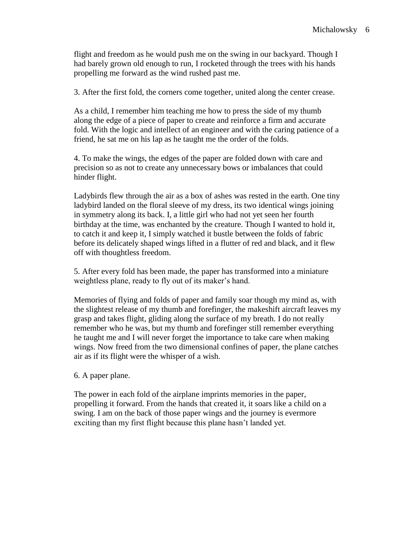flight and freedom as he would push me on the swing in our backyard. Though I had barely grown old enough to run, I rocketed through the trees with his hands propelling me forward as the wind rushed past me.

3. After the first fold, the corners come together, united along the center crease.

As a child, I remember him teaching me how to press the side of my thumb along the edge of a piece of paper to create and reinforce a firm and accurate fold. With the logic and intellect of an engineer and with the caring patience of a friend, he sat me on his lap as he taught me the order of the folds.

4. To make the wings, the edges of the paper are folded down with care and precision so as not to create any unnecessary bows or imbalances that could hinder flight.

Ladybirds flew through the air as a box of ashes was rested in the earth. One tiny ladybird landed on the floral sleeve of my dress, its two identical wings joining in symmetry along its back. I, a little girl who had not yet seen her fourth birthday at the time, was enchanted by the creature. Though I wanted to hold it, to catch it and keep it, I simply watched it bustle between the folds of fabric before its delicately shaped wings lifted in a flutter of red and black, and it flew off with thoughtless freedom.

5. After every fold has been made, the paper has transformed into a miniature weightless plane, ready to fly out of its maker's hand.

Memories of flying and folds of paper and family soar though my mind as, with the slightest release of my thumb and forefinger, the makeshift aircraft leaves my grasp and takes flight, gliding along the surface of my breath. I do not really remember who he was, but my thumb and forefinger still remember everything he taught me and I will never forget the importance to take care when making wings. Now freed from the two dimensional confines of paper, the plane catches air as if its flight were the whisper of a wish.

#### 6. A paper plane.

The power in each fold of the airplane imprints memories in the paper, propelling it forward. From the hands that created it, it soars like a child on a swing. I am on the back of those paper wings and the journey is evermore exciting than my first flight because this plane hasn't landed yet.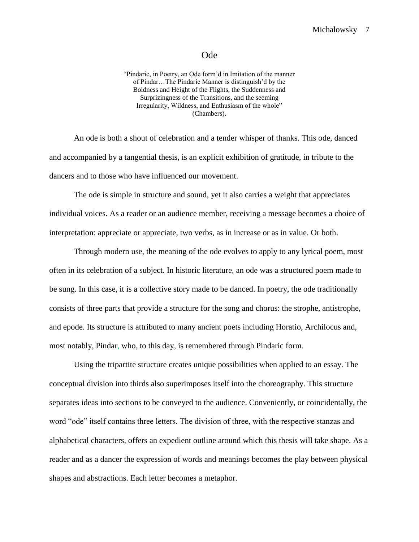#### Ode

"Pindaric, in Poetry, an Ode form'd in Imitation of the manner of Pindar…The Pindaric Manner is distinguish'd by the Boldness and Height of the Flights, the Suddenness and Surprizingness of the Transitions, and the seeming Irregularity, Wildness, and Enthusiasm of the whole" (Chambers).

An ode is both a shout of celebration and a tender whisper of thanks. This ode, danced and accompanied by a tangential thesis, is an explicit exhibition of gratitude, in tribute to the dancers and to those who have influenced our movement.

The ode is simple in structure and sound, yet it also carries a weight that appreciates individual voices. As a reader or an audience member, receiving a message becomes a choice of interpretation: appreciate or appreciate, two verbs, as in increase or as in value. Or both.

Through modern use, the meaning of the ode evolves to apply to any lyrical poem, most often in its celebration of a subject. In historic literature, an ode was a structured poem made to be sung. In this case, it is a collective story made to be danced. In poetry, the ode traditionally consists of three parts that provide a structure for the song and chorus: the strophe, antistrophe, and epode. Its structure is attributed to many ancient poets including Horatio, Archilocus and, most notably, Pindar, who, to this day, is remembered through Pindaric form.

Using the tripartite structure creates unique possibilities when applied to an essay. The conceptual division into thirds also superimposes itself into the choreography. This structure separates ideas into sections to be conveyed to the audience. Conveniently, or coincidentally, the word "ode" itself contains three letters. The division of three, with the respective stanzas and alphabetical characters, offers an expedient outline around which this thesis will take shape. As a reader and as a dancer the expression of words and meanings becomes the play between physical shapes and abstractions. Each letter becomes a metaphor.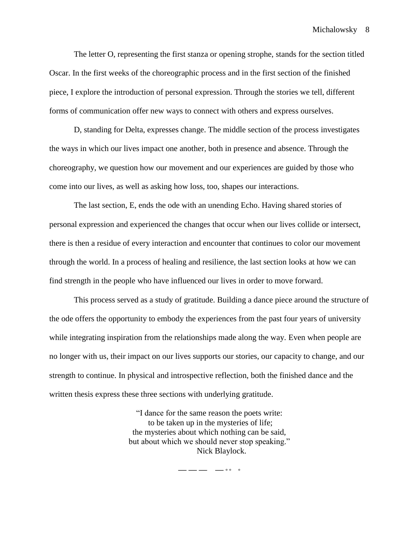The letter O, representing the first stanza or opening strophe, stands for the section titled Oscar. In the first weeks of the choreographic process and in the first section of the finished piece, I explore the introduction of personal expression. Through the stories we tell, different forms of communication offer new ways to connect with others and express ourselves.

D, standing for Delta, expresses change. The middle section of the process investigates the ways in which our lives impact one another, both in presence and absence. Through the choreography, we question how our movement and our experiences are guided by those who come into our lives, as well as asking how loss, too, shapes our interactions.

The last section, E, ends the ode with an unending Echo. Having shared stories of personal expression and experienced the changes that occur when our lives collide or intersect, there is then a residue of every interaction and encounter that continues to color our movement through the world. In a process of healing and resilience, the last section looks at how we can find strength in the people who have influenced our lives in order to move forward.

This process served as a study of gratitude. Building a dance piece around the structure of the ode offers the opportunity to embody the experiences from the past four years of university while integrating inspiration from the relationships made along the way. Even when people are no longer with us, their impact on our lives supports our stories, our capacity to change, and our strength to continue. In physical and introspective reflection, both the finished dance and the written thesis express these three sections with underlying gratitude.

> "I dance for the same reason the poets write: to be taken up in the mysteries of life; the mysteries about which nothing can be said, but about which we should never stop speaking." Nick Blaylock.

> > **— — — — ° ° °**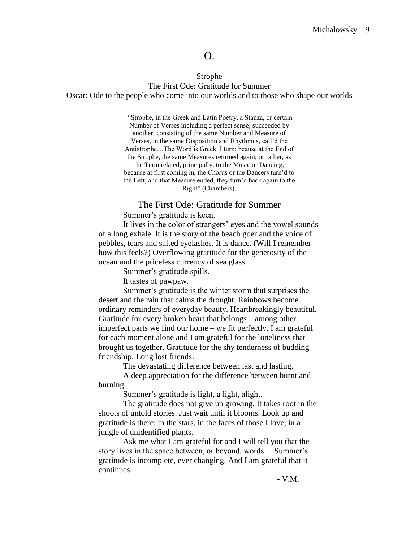# O.

#### Strophe

The First Ode: Gratitude for Summer Oscar: Ode to the people who come into our worlds and to those who shape our worlds

> "Strophe, in the Greek and Latin Poetry, a Stanza, or certain Number of Verses including a perfect sense; succeeded by another, consisting of the same Number and Measure of Verses, in the same Disposition and Rhythmus, call'd the Antistrophe…The Word is Greek, I turn; beause at the End of the Strophe, the same Measures returned again; or rather, as the Term related, principally, to the Music or Dancing, because at first coming in, the Chorus or the Dancers turn'd to

> the Left, and that Measure ended, they turn'd back again to the Right" (Chambers).

#### The First Ode: Gratitude for Summer

Summer's gratitude is keen.

It lives in the color of strangers' eyes and the vowel sounds of a long exhale. It is the story of the beach goer and the voice of pebbles, tears and salted eyelashes. It is dance. (Will I remember how this feels?) Overflowing gratitude for the generosity of the ocean and the priceless currency of sea glass.

Summer's gratitude spills.

It tastes of pawpaw.

Summer's gratitude is the winter storm that surprises the desert and the rain that calms the drought. Rainbows become ordinary reminders of everyday beauty. Heartbreakingly beautiful. Gratitude for every broken heart that belongs – among other imperfect parts we find our home – we fit perfectly. I am grateful for each moment alone and I am grateful for the loneliness that brought us together. Gratitude for the shy tenderness of budding friendship. Long lost friends.

The devastating difference between last and lasting.

A deep appreciation for the difference between burnt and burning.

Summer's gratitude is light, a light, alight.

The gratitude does not give up growing. It takes root in the shoots of untold stories. Just wait until it blooms. Look up and gratitude is there: in the stars, in the faces of those I love, in a jungle of unidentified plants.

Ask me what I am grateful for and I will tell you that the story lives in the space between, or beyond, words… Summer's gratitude is incomplete, ever changing. And I am grateful that it continues.

- V.M.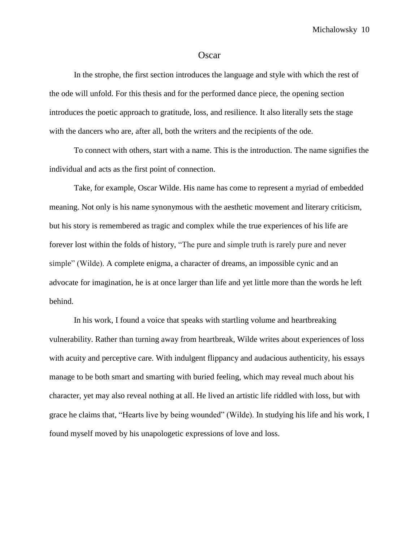#### **Oscar**

In the strophe, the first section introduces the language and style with which the rest of the ode will unfold. For this thesis and for the performed dance piece, the opening section introduces the poetic approach to gratitude, loss, and resilience. It also literally sets the stage with the dancers who are, after all, both the writers and the recipients of the ode.

To connect with others, start with a name. This is the introduction. The name signifies the individual and acts as the first point of connection.

Take, for example, Oscar Wilde. His name has come to represent a myriad of embedded meaning. Not only is his name synonymous with the aesthetic movement and literary criticism, but his story is remembered as tragic and complex while the true experiences of his life are forever lost within the folds of history, "The pure and simple truth is rarely pure and never simple" (Wilde). A complete enigma, a character of dreams, an impossible cynic and an advocate for imagination, he is at once larger than life and yet little more than the words he left behind.

In his work, I found a voice that speaks with startling volume and heartbreaking vulnerability. Rather than turning away from heartbreak, Wilde writes about experiences of loss with acuity and perceptive care. With indulgent flippancy and audacious authenticity, his essays manage to be both smart and smarting with buried feeling, which may reveal much about his character, yet may also reveal nothing at all. He lived an artistic life riddled with loss, but with grace he claims that, "Hearts live by being wounded" (Wilde). In studying his life and his work, I found myself moved by his unapologetic expressions of love and loss.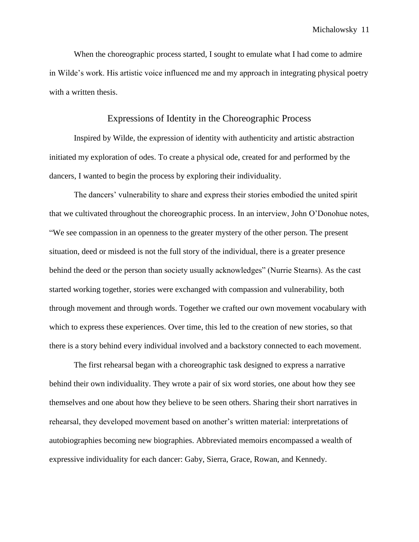When the choreographic process started, I sought to emulate what I had come to admire in Wilde's work. His artistic voice influenced me and my approach in integrating physical poetry with a written thesis.

#### Expressions of Identity in the Choreographic Process

Inspired by Wilde, the expression of identity with authenticity and artistic abstraction initiated my exploration of odes. To create a physical ode, created for and performed by the dancers, I wanted to begin the process by exploring their individuality.

The dancers' vulnerability to share and express their stories embodied the united spirit that we cultivated throughout the choreographic process. In an interview, John O'Donohue notes, "We see compassion in an openness to the greater mystery of the other person. The present situation, deed or misdeed is not the full story of the individual, there is a greater presence behind the deed or the person than society usually acknowledges" (Nurrie Stearns). As the cast started working together, stories were exchanged with compassion and vulnerability, both through movement and through words. Together we crafted our own movement vocabulary with which to express these experiences. Over time, this led to the creation of new stories, so that there is a story behind every individual involved and a backstory connected to each movement.

The first rehearsal began with a choreographic task designed to express a narrative behind their own individuality. They wrote a pair of six word stories, one about how they see themselves and one about how they believe to be seen others. Sharing their short narratives in rehearsal, they developed movement based on another's written material: interpretations of autobiographies becoming new biographies. Abbreviated memoirs encompassed a wealth of expressive individuality for each dancer: Gaby, Sierra, Grace, Rowan, and Kennedy.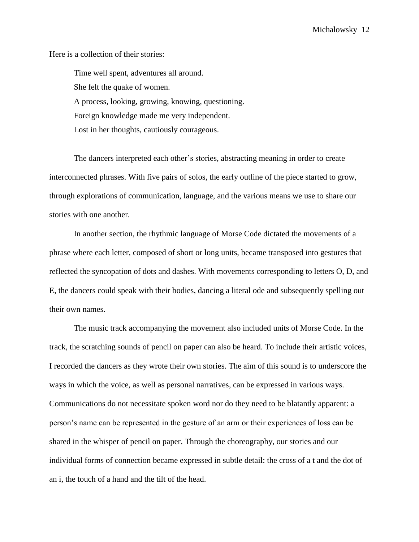Here is a collection of their stories:

Time well spent, adventures all around. She felt the quake of women. A process, looking, growing, knowing, questioning. Foreign knowledge made me very independent. Lost in her thoughts, cautiously courageous.

The dancers interpreted each other's stories, abstracting meaning in order to create interconnected phrases. With five pairs of solos, the early outline of the piece started to grow, through explorations of communication, language, and the various means we use to share our stories with one another.

In another section, the rhythmic language of Morse Code dictated the movements of a phrase where each letter, composed of short or long units, became transposed into gestures that reflected the syncopation of dots and dashes. With movements corresponding to letters O, D, and E, the dancers could speak with their bodies, dancing a literal ode and subsequently spelling out their own names.

The music track accompanying the movement also included units of Morse Code. In the track, the scratching sounds of pencil on paper can also be heard. To include their artistic voices, I recorded the dancers as they wrote their own stories. The aim of this sound is to underscore the ways in which the voice, as well as personal narratives, can be expressed in various ways. Communications do not necessitate spoken word nor do they need to be blatantly apparent: a person's name can be represented in the gesture of an arm or their experiences of loss can be shared in the whisper of pencil on paper. Through the choreography, our stories and our individual forms of connection became expressed in subtle detail: the cross of a t and the dot of an i, the touch of a hand and the tilt of the head.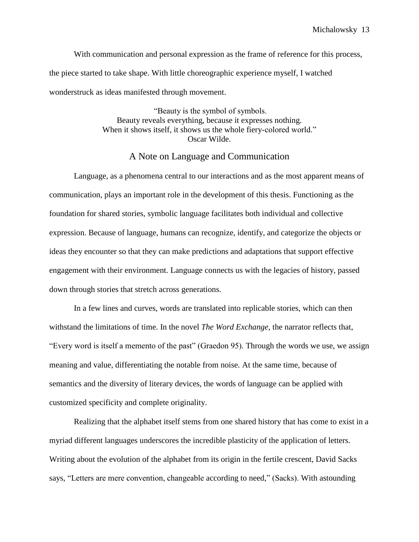With communication and personal expression as the frame of reference for this process, the piece started to take shape. With little choreographic experience myself, I watched wonderstruck as ideas manifested through movement.

> "Beauty is the symbol of symbols. Beauty reveals everything, because it expresses nothing. When it shows itself, it shows us the whole fiery-colored world." Oscar Wilde.

> > A Note on Language and Communication

Language, as a phenomena central to our interactions and as the most apparent means of communication, plays an important role in the development of this thesis. Functioning as the foundation for shared stories, symbolic language facilitates both individual and collective expression. Because of language, humans can recognize, identify, and categorize the objects or ideas they encounter so that they can make predictions and adaptations that support effective engagement with their environment. Language connects us with the legacies of history, passed down through stories that stretch across generations.

In a few lines and curves, words are translated into replicable stories, which can then withstand the limitations of time. In the novel *The Word Exchange,* the narrator reflects that, "Every word is itself a memento of the past" (Graedon 95). Through the words we use, we assign meaning and value, differentiating the notable from noise. At the same time, because of semantics and the diversity of literary devices, the words of language can be applied with customized specificity and complete originality.

Realizing that the alphabet itself stems from one shared history that has come to exist in a myriad different languages underscores the incredible plasticity of the application of letters. Writing about the evolution of the alphabet from its origin in the fertile crescent, David Sacks says, "Letters are mere convention, changeable according to need," (Sacks). With astounding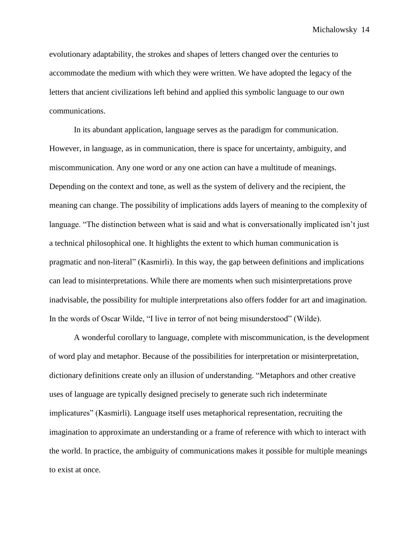evolutionary adaptability, the strokes and shapes of letters changed over the centuries to accommodate the medium with which they were written. We have adopted the legacy of the letters that ancient civilizations left behind and applied this symbolic language to our own communications.

In its abundant application, language serves as the paradigm for communication. However, in language, as in communication, there is space for uncertainty, ambiguity, and miscommunication. Any one word or any one action can have a multitude of meanings. Depending on the context and tone, as well as the system of delivery and the recipient, the meaning can change. The possibility of implications adds layers of meaning to the complexity of language. "The distinction between what is said and what is conversationally implicated isn't just a technical philosophical one. It highlights the extent to which human communication is pragmatic and non-literal" (Kasmirli). In this way, the gap between definitions and implications can lead to misinterpretations. While there are moments when such misinterpretations prove inadvisable, the possibility for multiple interpretations also offers fodder for art and imagination. In the words of Oscar Wilde, "I live in terror of not being misunderstood" (Wilde).

A wonderful corollary to language, complete with miscommunication, is the development of word play and metaphor. Because of the possibilities for interpretation or misinterpretation, dictionary definitions create only an illusion of understanding. "Metaphors and other creative uses of language are typically designed precisely to generate such rich indeterminate implicatures" (Kasmirli). Language itself uses metaphorical representation, recruiting the imagination to approximate an understanding or a frame of reference with which to interact with the world. In practice, the ambiguity of communications makes it possible for multiple meanings to exist at once.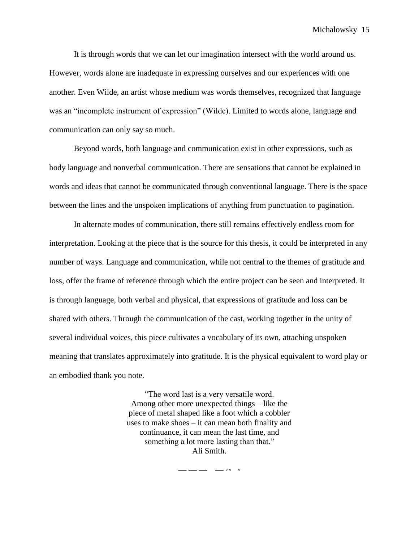It is through words that we can let our imagination intersect with the world around us. However, words alone are inadequate in expressing ourselves and our experiences with one another. Even Wilde, an artist whose medium was words themselves, recognized that language was an "incomplete instrument of expression" (Wilde). Limited to words alone, language and communication can only say so much.

Beyond words, both language and communication exist in other expressions, such as body language and nonverbal communication. There are sensations that cannot be explained in words and ideas that cannot be communicated through conventional language. There is the space between the lines and the unspoken implications of anything from punctuation to pagination.

In alternate modes of communication, there still remains effectively endless room for interpretation. Looking at the piece that is the source for this thesis, it could be interpreted in any number of ways. Language and communication, while not central to the themes of gratitude and loss, offer the frame of reference through which the entire project can be seen and interpreted. It is through language, both verbal and physical, that expressions of gratitude and loss can be shared with others. Through the communication of the cast, working together in the unity of several individual voices, this piece cultivates a vocabulary of its own, attaching unspoken meaning that translates approximately into gratitude. It is the physical equivalent to word play or an embodied thank you note.

> "The word last is a very versatile word. Among other more unexpected things – like the piece of metal shaped like a foot which a cobbler uses to make shoes – it can mean both finality and continuance, it can mean the last time, and something a lot more lasting than that." Ali Smith.

> > **— — — — ° ° °**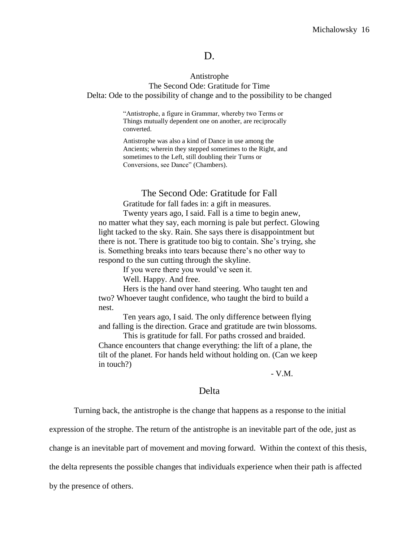## D.

### Antistrophe

The Second Ode: Gratitude for Time Delta: Ode to the possibility of change and to the possibility to be changed

> "Antistrophe, a figure in Grammar, whereby two Terms or Things mutually dependent one on another, are reciprocally converted.

> Antistrophe was also a kind of Dance in use among the Ancients; wherein they stepped sometimes to the Right, and sometimes to the Left, still doubling their Turns or Conversions, see Dance" (Chambers).

#### The Second Ode: Gratitude for Fall

Gratitude for fall fades in: a gift in measures.

Twenty years ago, I said. Fall is a time to begin anew, no matter what they say, each morning is pale but perfect. Glowing light tacked to the sky. Rain. She says there is disappointment but there is not. There is gratitude too big to contain. She's trying, she is. Something breaks into tears because there's no other way to respond to the sun cutting through the skyline.

If you were there you would've seen it.

Well. Happy. And free.

Hers is the hand over hand steering. Who taught ten and two? Whoever taught confidence, who taught the bird to build a nest.

Ten years ago, I said. The only difference between flying and falling is the direction. Grace and gratitude are twin blossoms.

This is gratitude for fall. For paths crossed and braided. Chance encounters that change everything: the lift of a plane, the tilt of the planet. For hands held without holding on. (Can we keep in touch?)

- V.M.

## Delta

Turning back, the antistrophe is the change that happens as a response to the initial

expression of the strophe. The return of the antistrophe is an inevitable part of the ode, just as

change is an inevitable part of movement and moving forward. Within the context of this thesis,

the delta represents the possible changes that individuals experience when their path is affected

by the presence of others.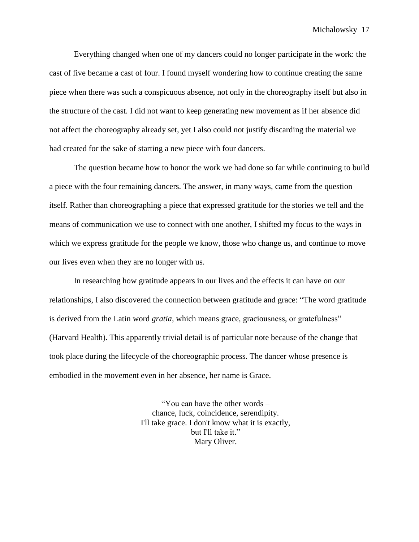Everything changed when one of my dancers could no longer participate in the work: the cast of five became a cast of four. I found myself wondering how to continue creating the same piece when there was such a conspicuous absence, not only in the choreography itself but also in the structure of the cast. I did not want to keep generating new movement as if her absence did not affect the choreography already set, yet I also could not justify discarding the material we had created for the sake of starting a new piece with four dancers.

The question became how to honor the work we had done so far while continuing to build a piece with the four remaining dancers. The answer, in many ways, came from the question itself. Rather than choreographing a piece that expressed gratitude for the stories we tell and the means of communication we use to connect with one another, I shifted my focus to the ways in which we express gratitude for the people we know, those who change us, and continue to move our lives even when they are no longer with us.

In researching how gratitude appears in our lives and the effects it can have on our relationships, I also discovered the connection between gratitude and grace: "The word gratitude is derived from the Latin word *gratia*, which means grace, graciousness, or gratefulness" (Harvard Health). This apparently trivial detail is of particular note because of the change that took place during the lifecycle of the choreographic process. The dancer whose presence is embodied in the movement even in her absence, her name is Grace.

> "You can have the other words – chance, luck, coincidence, serendipity. I'll take grace. I don't know what it is exactly, but I'll take it." Mary Oliver.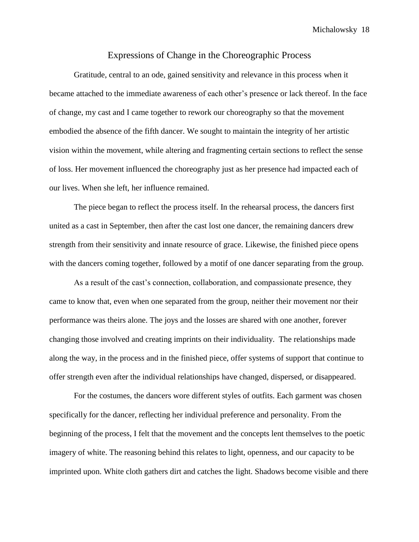#### Expressions of Change in the Choreographic Process

Gratitude, central to an ode, gained sensitivity and relevance in this process when it became attached to the immediate awareness of each other's presence or lack thereof. In the face of change, my cast and I came together to rework our choreography so that the movement embodied the absence of the fifth dancer. We sought to maintain the integrity of her artistic vision within the movement, while altering and fragmenting certain sections to reflect the sense of loss. Her movement influenced the choreography just as her presence had impacted each of our lives. When she left, her influence remained.

The piece began to reflect the process itself. In the rehearsal process, the dancers first united as a cast in September, then after the cast lost one dancer, the remaining dancers drew strength from their sensitivity and innate resource of grace. Likewise, the finished piece opens with the dancers coming together, followed by a motif of one dancer separating from the group.

As a result of the cast's connection, collaboration, and compassionate presence, they came to know that, even when one separated from the group, neither their movement nor their performance was theirs alone. The joys and the losses are shared with one another, forever changing those involved and creating imprints on their individuality. The relationships made along the way, in the process and in the finished piece, offer systems of support that continue to offer strength even after the individual relationships have changed, dispersed, or disappeared.

For the costumes, the dancers wore different styles of outfits. Each garment was chosen specifically for the dancer, reflecting her individual preference and personality. From the beginning of the process, I felt that the movement and the concepts lent themselves to the poetic imagery of white. The reasoning behind this relates to light, openness, and our capacity to be imprinted upon. White cloth gathers dirt and catches the light. Shadows become visible and there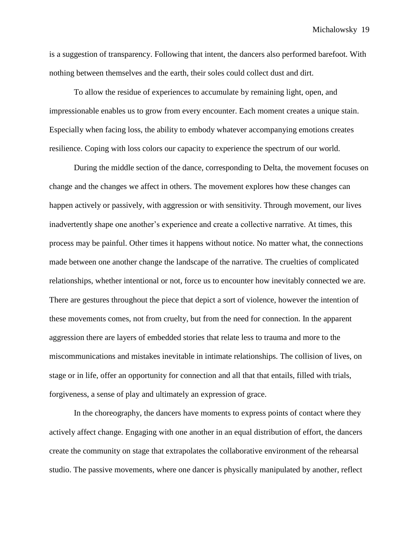is a suggestion of transparency. Following that intent, the dancers also performed barefoot. With nothing between themselves and the earth, their soles could collect dust and dirt.

To allow the residue of experiences to accumulate by remaining light, open, and impressionable enables us to grow from every encounter. Each moment creates a unique stain. Especially when facing loss, the ability to embody whatever accompanying emotions creates resilience. Coping with loss colors our capacity to experience the spectrum of our world.

During the middle section of the dance, corresponding to Delta, the movement focuses on change and the changes we affect in others. The movement explores how these changes can happen actively or passively, with aggression or with sensitivity. Through movement, our lives inadvertently shape one another's experience and create a collective narrative. At times, this process may be painful. Other times it happens without notice. No matter what, the connections made between one another change the landscape of the narrative. The cruelties of complicated relationships, whether intentional or not, force us to encounter how inevitably connected we are. There are gestures throughout the piece that depict a sort of violence, however the intention of these movements comes, not from cruelty, but from the need for connection. In the apparent aggression there are layers of embedded stories that relate less to trauma and more to the miscommunications and mistakes inevitable in intimate relationships. The collision of lives, on stage or in life, offer an opportunity for connection and all that that entails, filled with trials, forgiveness, a sense of play and ultimately an expression of grace.

In the choreography, the dancers have moments to express points of contact where they actively affect change. Engaging with one another in an equal distribution of effort, the dancers create the community on stage that extrapolates the collaborative environment of the rehearsal studio. The passive movements, where one dancer is physically manipulated by another, reflect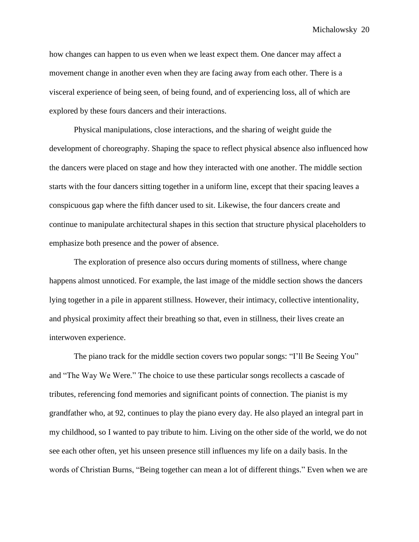how changes can happen to us even when we least expect them. One dancer may affect a movement change in another even when they are facing away from each other. There is a visceral experience of being seen, of being found, and of experiencing loss, all of which are explored by these fours dancers and their interactions.

Physical manipulations, close interactions, and the sharing of weight guide the development of choreography. Shaping the space to reflect physical absence also influenced how the dancers were placed on stage and how they interacted with one another. The middle section starts with the four dancers sitting together in a uniform line, except that their spacing leaves a conspicuous gap where the fifth dancer used to sit. Likewise, the four dancers create and continue to manipulate architectural shapes in this section that structure physical placeholders to emphasize both presence and the power of absence.

The exploration of presence also occurs during moments of stillness, where change happens almost unnoticed. For example, the last image of the middle section shows the dancers lying together in a pile in apparent stillness. However, their intimacy, collective intentionality, and physical proximity affect their breathing so that, even in stillness, their lives create an interwoven experience.

The piano track for the middle section covers two popular songs: "I'll Be Seeing You" and "The Way We Were." The choice to use these particular songs recollects a cascade of tributes, referencing fond memories and significant points of connection. The pianist is my grandfather who, at 92, continues to play the piano every day. He also played an integral part in my childhood, so I wanted to pay tribute to him. Living on the other side of the world, we do not see each other often, yet his unseen presence still influences my life on a daily basis. In the words of Christian Burns, "Being together can mean a lot of different things." Even when we are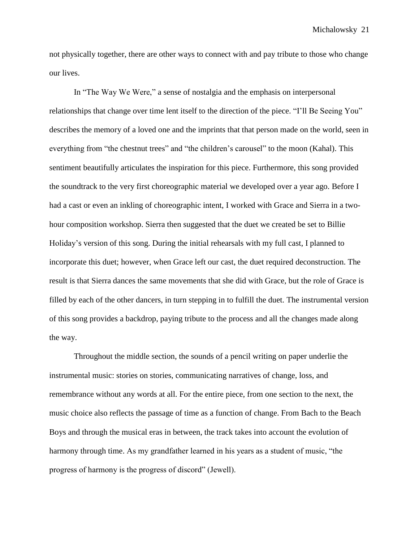not physically together, there are other ways to connect with and pay tribute to those who change our lives.

In "The Way We Were," a sense of nostalgia and the emphasis on interpersonal relationships that change over time lent itself to the direction of the piece. "I'll Be Seeing You" describes the memory of a loved one and the imprints that that person made on the world, seen in everything from "the chestnut trees" and "the children's carousel" to the moon (Kahal). This sentiment beautifully articulates the inspiration for this piece. Furthermore, this song provided the soundtrack to the very first choreographic material we developed over a year ago. Before I had a cast or even an inkling of choreographic intent, I worked with Grace and Sierra in a twohour composition workshop. Sierra then suggested that the duet we created be set to Billie Holiday's version of this song. During the initial rehearsals with my full cast, I planned to incorporate this duet; however, when Grace left our cast, the duet required deconstruction. The result is that Sierra dances the same movements that she did with Grace, but the role of Grace is filled by each of the other dancers, in turn stepping in to fulfill the duet. The instrumental version of this song provides a backdrop, paying tribute to the process and all the changes made along the way.

Throughout the middle section, the sounds of a pencil writing on paper underlie the instrumental music: stories on stories, communicating narratives of change, loss, and remembrance without any words at all. For the entire piece, from one section to the next, the music choice also reflects the passage of time as a function of change. From Bach to the Beach Boys and through the musical eras in between, the track takes into account the evolution of harmony through time. As my grandfather learned in his years as a student of music, "the progress of harmony is the progress of discord" (Jewell).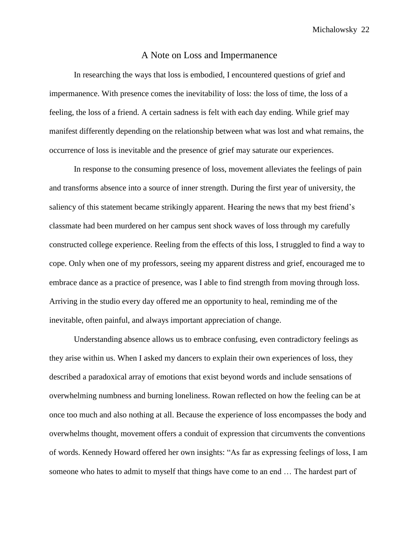#### A Note on Loss and Impermanence

In researching the ways that loss is embodied, I encountered questions of grief and impermanence. With presence comes the inevitability of loss: the loss of time, the loss of a feeling, the loss of a friend. A certain sadness is felt with each day ending. While grief may manifest differently depending on the relationship between what was lost and what remains, the occurrence of loss is inevitable and the presence of grief may saturate our experiences.

In response to the consuming presence of loss, movement alleviates the feelings of pain and transforms absence into a source of inner strength. During the first year of university, the saliency of this statement became strikingly apparent. Hearing the news that my best friend's classmate had been murdered on her campus sent shock waves of loss through my carefully constructed college experience. Reeling from the effects of this loss, I struggled to find a way to cope. Only when one of my professors, seeing my apparent distress and grief, encouraged me to embrace dance as a practice of presence, was I able to find strength from moving through loss. Arriving in the studio every day offered me an opportunity to heal, reminding me of the inevitable, often painful, and always important appreciation of change.

Understanding absence allows us to embrace confusing, even contradictory feelings as they arise within us. When I asked my dancers to explain their own experiences of loss, they described a paradoxical array of emotions that exist beyond words and include sensations of overwhelming numbness and burning loneliness. Rowan reflected on how the feeling can be at once too much and also nothing at all. Because the experience of loss encompasses the body and overwhelms thought, movement offers a conduit of expression that circumvents the conventions of words. Kennedy Howard offered her own insights: "As far as expressing feelings of loss, I am someone who hates to admit to myself that things have come to an end … The hardest part of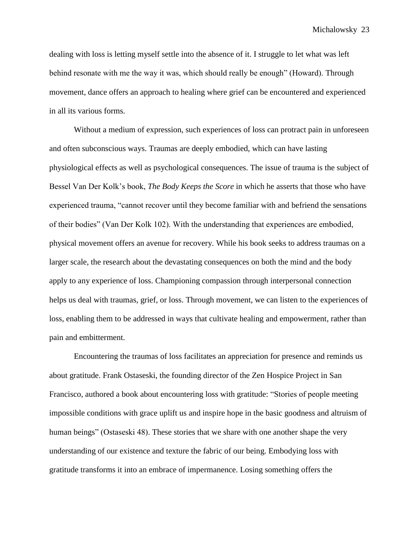dealing with loss is letting myself settle into the absence of it. I struggle to let what was left behind resonate with me the way it was, which should really be enough" (Howard). Through movement, dance offers an approach to healing where grief can be encountered and experienced in all its various forms.

Without a medium of expression, such experiences of loss can protract pain in unforeseen and often subconscious ways. Traumas are deeply embodied, which can have lasting physiological effects as well as psychological consequences. The issue of trauma is the subject of Bessel Van Der Kolk's book, *The Body Keeps the Score* in which he asserts that those who have experienced trauma, "cannot recover until they become familiar with and befriend the sensations of their bodies" (Van Der Kolk 102). With the understanding that experiences are embodied, physical movement offers an avenue for recovery. While his book seeks to address traumas on a larger scale, the research about the devastating consequences on both the mind and the body apply to any experience of loss. Championing compassion through interpersonal connection helps us deal with traumas, grief, or loss. Through movement, we can listen to the experiences of loss, enabling them to be addressed in ways that cultivate healing and empowerment, rather than pain and embitterment.

Encountering the traumas of loss facilitates an appreciation for presence and reminds us about gratitude. Frank Ostaseski, the founding director of the Zen Hospice Project in San Francisco, authored a book about encountering loss with gratitude: "Stories of people meeting impossible conditions with grace uplift us and inspire hope in the basic goodness and altruism of human beings" (Ostaseski 48). These stories that we share with one another shape the very understanding of our existence and texture the fabric of our being. Embodying loss with gratitude transforms it into an embrace of impermanence. Losing something offers the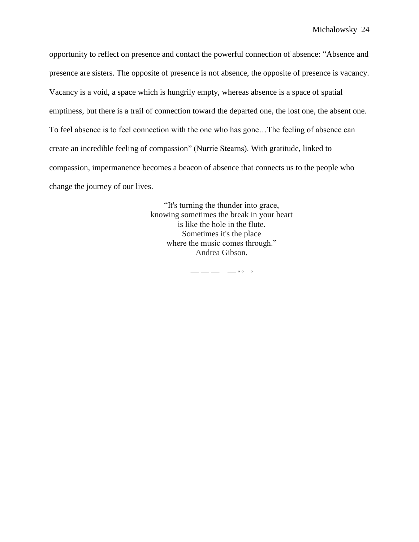opportunity to reflect on presence and contact the powerful connection of absence: "Absence and presence are sisters. The opposite of presence is not absence, the opposite of presence is vacancy. Vacancy is a void, a space which is hungrily empty, whereas absence is a space of spatial emptiness, but there is a trail of connection toward the departed one, the lost one, the absent one. To feel absence is to feel connection with the one who has gone…The feeling of absence can create an incredible feeling of compassion" (Nurrie Stearns). With gratitude, linked to compassion, impermanence becomes a beacon of absence that connects us to the people who change the journey of our lives.

> "It's turning the thunder into grace, knowing sometimes the break in your heart is like the hole in the flute. Sometimes it's the place where the music comes through." Andrea Gibson.

> > **— — — — ° ° °**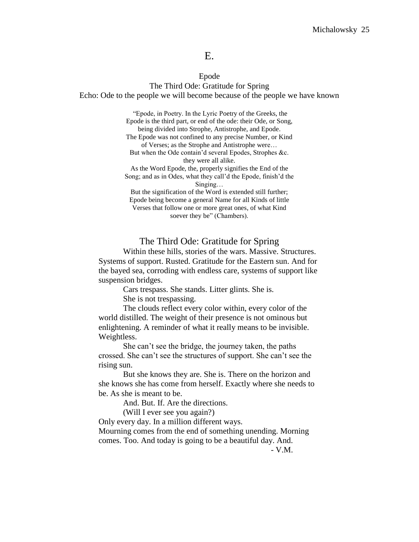# E.

#### Epode

The Third Ode: Gratitude for Spring Echo: Ode to the people we will become because of the people we have known

> "Epode, in Poetry. In the Lyric Poetry of the Greeks, the Epode is the third part, or end of the ode: their Ode, or Song, being divided into Strophe, Antistrophe, and Epode. The Epode was not confined to any precise Number, or Kind of Verses; as the Strophe and Antistrophe were… But when the Ode contain'd several Epodes, Strophes &c. they were all alike. As the Word Epode, the, properly signifies the End of the Song; and as in Odes, what they call'd the Epode, finish'd the Singing… But the signification of the Word is extended still further; Epode being become a general Name for all Kinds of little Verses that follow one or more great ones, of what Kind soever they be" (Chambers).

The Third Ode: Gratitude for Spring

Within these hills, stories of the wars. Massive. Structures. Systems of support. Rusted. Gratitude for the Eastern sun. And for the bayed sea, corroding with endless care, systems of support like suspension bridges.

Cars trespass. She stands. Litter glints. She is.

She is not trespassing.

The clouds reflect every color within, every color of the world distilled. The weight of their presence is not ominous but enlightening. A reminder of what it really means to be invisible. Weightless.

She can't see the bridge, the journey taken, the paths crossed. She can't see the structures of support. She can't see the rising sun.

But she knows they are. She is. There on the horizon and she knows she has come from herself. Exactly where she needs to be. As she is meant to be.

And. But. If. Are the directions.

(Will I ever see you again?)

Only every day. In a million different ways. Mourning comes from the end of something unending. Morning comes. Too. And today is going to be a beautiful day. And.

- V.M.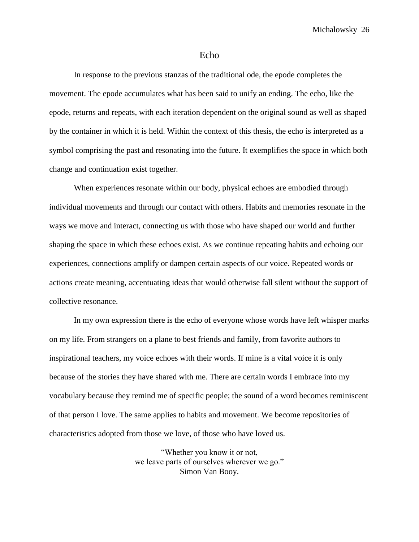#### Echo

In response to the previous stanzas of the traditional ode, the epode completes the movement. The epode accumulates what has been said to unify an ending. The echo, like the epode, returns and repeats, with each iteration dependent on the original sound as well as shaped by the container in which it is held. Within the context of this thesis, the echo is interpreted as a symbol comprising the past and resonating into the future. It exemplifies the space in which both change and continuation exist together.

When experiences resonate within our body, physical echoes are embodied through individual movements and through our contact with others. Habits and memories resonate in the ways we move and interact, connecting us with those who have shaped our world and further shaping the space in which these echoes exist. As we continue repeating habits and echoing our experiences, connections amplify or dampen certain aspects of our voice. Repeated words or actions create meaning, accentuating ideas that would otherwise fall silent without the support of collective resonance.

In my own expression there is the echo of everyone whose words have left whisper marks on my life. From strangers on a plane to best friends and family, from favorite authors to inspirational teachers, my voice echoes with their words. If mine is a vital voice it is only because of the stories they have shared with me. There are certain words I embrace into my vocabulary because they remind me of specific people; the sound of a word becomes reminiscent of that person I love. The same applies to habits and movement. We become repositories of characteristics adopted from those we love, of those who have loved us.

> "Whether you know it or not, we leave parts of ourselves wherever we go." Simon Van Booy.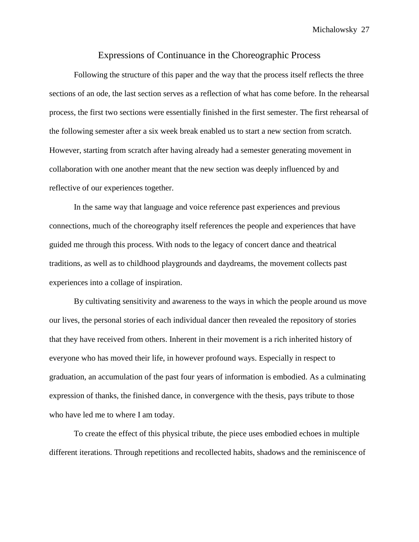#### Expressions of Continuance in the Choreographic Process

Following the structure of this paper and the way that the process itself reflects the three sections of an ode, the last section serves as a reflection of what has come before. In the rehearsal process, the first two sections were essentially finished in the first semester. The first rehearsal of the following semester after a six week break enabled us to start a new section from scratch. However, starting from scratch after having already had a semester generating movement in collaboration with one another meant that the new section was deeply influenced by and reflective of our experiences together.

In the same way that language and voice reference past experiences and previous connections, much of the choreography itself references the people and experiences that have guided me through this process. With nods to the legacy of concert dance and theatrical traditions, as well as to childhood playgrounds and daydreams, the movement collects past experiences into a collage of inspiration.

By cultivating sensitivity and awareness to the ways in which the people around us move our lives, the personal stories of each individual dancer then revealed the repository of stories that they have received from others. Inherent in their movement is a rich inherited history of everyone who has moved their life, in however profound ways. Especially in respect to graduation, an accumulation of the past four years of information is embodied. As a culminating expression of thanks, the finished dance, in convergence with the thesis, pays tribute to those who have led me to where I am today.

To create the effect of this physical tribute, the piece uses embodied echoes in multiple different iterations. Through repetitions and recollected habits, shadows and the reminiscence of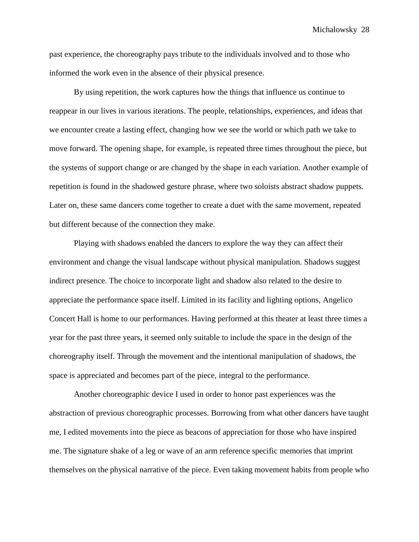past experience, the choreography pays tribute to the individuals involved and to those who informed the work even in the absence of their physical presence.

By using repetition, the work captures how the things that influence us continue to reappear in our lives in various iterations. The people, relationships, experiences, and ideas that we encounter create a lasting effect, changing how we see the world or which path we take to move forward. The opening shape, for example, is repeated three times throughout the piece, but the systems of support change or are changed by the shape in each variation. Another example of repetition is found in the shadowed gesture phrase, where two soloists abstract shadow puppets. Later on, these same dancers come together to create a duet with the same movement, repeated but different because of the connection they make.

Playing with shadows enabled the dancers to explore the way they can affect their environment and change the visual landscape without physical manipulation. Shadows suggest indirect presence. The choice to incorporate light and shadow also related to the desire to appreciate the performance space itself. Limited in its facility and lighting options, Angelico Concert Hall is home to our performances. Having performed at this theater at least three times a year for the past three years, it seemed only suitable to include the space in the design of the choreography itself. Through the movement and the intentional manipulation of shadows, the space is appreciated and becomes part of the piece, integral to the performance.

Another choreographic device I used in order to honor past experiences was the abstraction of previous choreographic processes. Borrowing from what other dancers have taught me, I edited movements into the piece as beacons of appreciation for those who have inspired me. The signature shake of a leg or wave of an arm reference specific memories that imprint themselves on the physical narrative of the piece. Even taking movement habits from people who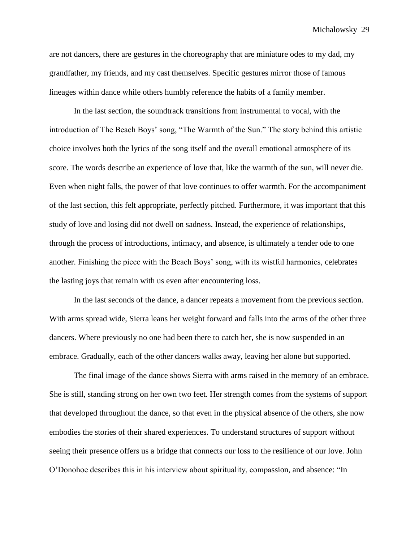are not dancers, there are gestures in the choreography that are miniature odes to my dad, my grandfather, my friends, and my cast themselves. Specific gestures mirror those of famous lineages within dance while others humbly reference the habits of a family member.

In the last section, the soundtrack transitions from instrumental to vocal, with the introduction of The Beach Boys' song, "The Warmth of the Sun." The story behind this artistic choice involves both the lyrics of the song itself and the overall emotional atmosphere of its score. The words describe an experience of love that, like the warmth of the sun, will never die. Even when night falls, the power of that love continues to offer warmth. For the accompaniment of the last section, this felt appropriate, perfectly pitched. Furthermore, it was important that this study of love and losing did not dwell on sadness. Instead, the experience of relationships, through the process of introductions, intimacy, and absence, is ultimately a tender ode to one another. Finishing the piece with the Beach Boys' song, with its wistful harmonies, celebrates the lasting joys that remain with us even after encountering loss.

In the last seconds of the dance, a dancer repeats a movement from the previous section. With arms spread wide, Sierra leans her weight forward and falls into the arms of the other three dancers. Where previously no one had been there to catch her, she is now suspended in an embrace. Gradually, each of the other dancers walks away, leaving her alone but supported.

The final image of the dance shows Sierra with arms raised in the memory of an embrace. She is still, standing strong on her own two feet. Her strength comes from the systems of support that developed throughout the dance, so that even in the physical absence of the others, she now embodies the stories of their shared experiences. To understand structures of support without seeing their presence offers us a bridge that connects our loss to the resilience of our love. John O'Donohoe describes this in his interview about spirituality, compassion, and absence: "In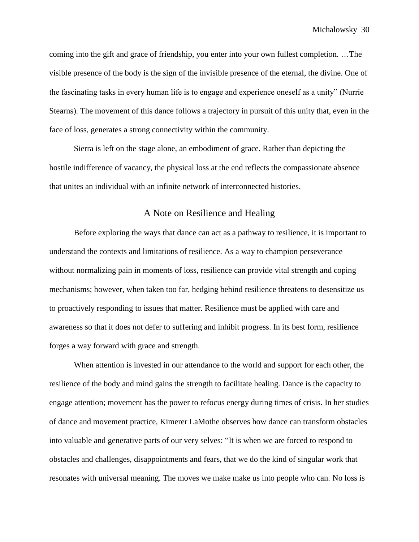coming into the gift and grace of friendship, you enter into your own fullest completion. …The visible presence of the body is the sign of the invisible presence of the eternal, the divine. One of the fascinating tasks in every human life is to engage and experience oneself as a unity" (Nurrie Stearns). The movement of this dance follows a trajectory in pursuit of this unity that, even in the face of loss, generates a strong connectivity within the community.

Sierra is left on the stage alone, an embodiment of grace. Rather than depicting the hostile indifference of vacancy, the physical loss at the end reflects the compassionate absence that unites an individual with an infinite network of interconnected histories.

# A Note on Resilience and Healing

Before exploring the ways that dance can act as a pathway to resilience, it is important to understand the contexts and limitations of resilience. As a way to champion perseverance without normalizing pain in moments of loss, resilience can provide vital strength and coping mechanisms; however, when taken too far, hedging behind resilience threatens to desensitize us to proactively responding to issues that matter. Resilience must be applied with care and awareness so that it does not defer to suffering and inhibit progress. In its best form, resilience forges a way forward with grace and strength.

When attention is invested in our attendance to the world and support for each other, the resilience of the body and mind gains the strength to facilitate healing. Dance is the capacity to engage attention; movement has the power to refocus energy during times of crisis. In her studies of dance and movement practice, Kimerer LaMothe observes how dance can transform obstacles into valuable and generative parts of our very selves: "It is when we are forced to respond to obstacles and challenges, disappointments and fears, that we do the kind of singular work that resonates with universal meaning. The moves we make make us into people who can. No loss is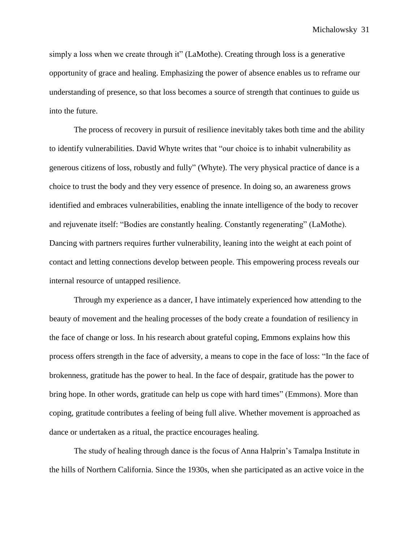simply a loss when we create through it" (LaMothe). Creating through loss is a generative opportunity of grace and healing. Emphasizing the power of absence enables us to reframe our understanding of presence, so that loss becomes a source of strength that continues to guide us into the future.

The process of recovery in pursuit of resilience inevitably takes both time and the ability to identify vulnerabilities. David Whyte writes that "our choice is to inhabit vulnerability as generous citizens of loss, robustly and fully" (Whyte). The very physical practice of dance is a choice to trust the body and they very essence of presence. In doing so, an awareness grows identified and embraces vulnerabilities, enabling the innate intelligence of the body to recover and rejuvenate itself: "Bodies are constantly healing. Constantly regenerating" (LaMothe). Dancing with partners requires further vulnerability, leaning into the weight at each point of contact and letting connections develop between people. This empowering process reveals our internal resource of untapped resilience.

Through my experience as a dancer, I have intimately experienced how attending to the beauty of movement and the healing processes of the body create a foundation of resiliency in the face of change or loss. In his research about grateful coping, Emmons explains how this process offers strength in the face of adversity, a means to cope in the face of loss: "In the face of brokenness, gratitude has the power to heal. In the face of despair, gratitude has the power to bring hope. In other words, gratitude can help us cope with hard times" (Emmons). More than coping, gratitude contributes a feeling of being full alive. Whether movement is approached as dance or undertaken as a ritual, the practice encourages healing.

The study of healing through dance is the focus of Anna Halprin's Tamalpa Institute in the hills of Northern California. Since the 1930s, when she participated as an active voice in the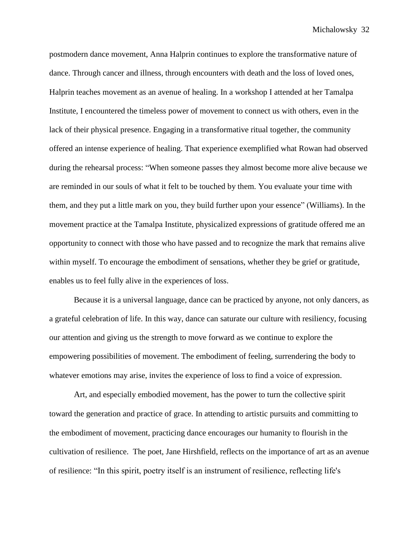postmodern dance movement, Anna Halprin continues to explore the transformative nature of dance. Through cancer and illness, through encounters with death and the loss of loved ones, Halprin teaches movement as an avenue of healing. In a workshop I attended at her Tamalpa Institute, I encountered the timeless power of movement to connect us with others, even in the lack of their physical presence. Engaging in a transformative ritual together, the community offered an intense experience of healing. That experience exemplified what Rowan had observed during the rehearsal process: "When someone passes they almost become more alive because we are reminded in our souls of what it felt to be touched by them. You evaluate your time with them, and they put a little mark on you, they build further upon your essence" (Williams). In the movement practice at the Tamalpa Institute, physicalized expressions of gratitude offered me an opportunity to connect with those who have passed and to recognize the mark that remains alive within myself. To encourage the embodiment of sensations, whether they be grief or gratitude, enables us to feel fully alive in the experiences of loss.

Because it is a universal language, dance can be practiced by anyone, not only dancers, as a grateful celebration of life. In this way, dance can saturate our culture with resiliency, focusing our attention and giving us the strength to move forward as we continue to explore the empowering possibilities of movement. The embodiment of feeling, surrendering the body to whatever emotions may arise, invites the experience of loss to find a voice of expression.

Art, and especially embodied movement, has the power to turn the collective spirit toward the generation and practice of grace. In attending to artistic pursuits and committing to the embodiment of movement, practicing dance encourages our humanity to flourish in the cultivation of resilience. The poet, Jane Hirshfield, reflects on the importance of art as an avenue of resilience: "In this spirit, poetry itself is an instrument of resilience, reflecting life's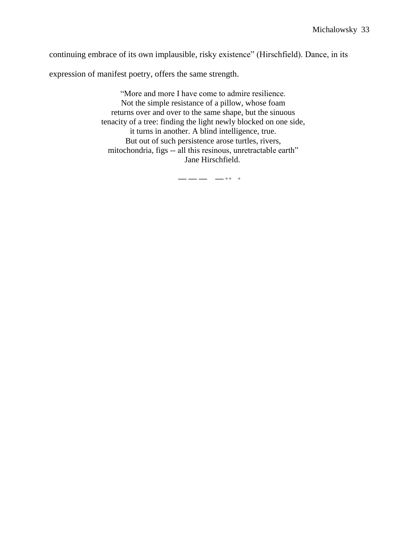continuing embrace of its own implausible, risky existence" (Hirschfield). Dance, in its

expression of manifest poetry, offers the same strength.

"More and more I have come to admire resilience. Not the simple resistance of a pillow, whose foam returns over and over to the same shape, but the sinuous tenacity of a tree: finding the light newly blocked on one side, it turns in another. A blind intelligence, true. But out of such persistence arose turtles, rivers, mitochondria, figs -- all this resinous, unretractable earth" Jane Hirschfield.

**— — — — ° ° °**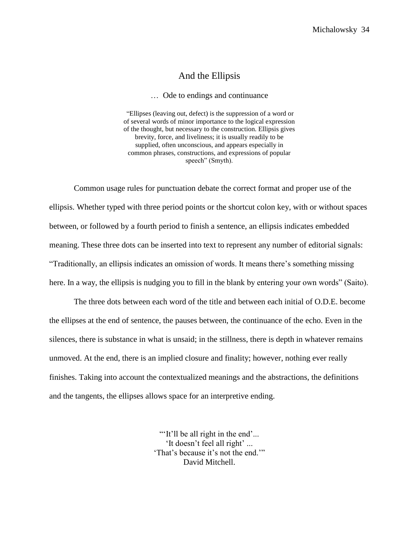## And the Ellipsis

… Ode to endings and continuance

"Ellipses (leaving out, defect) is the suppression of a word or of several words of minor importance to the logical expression of the thought, but necessary to the construction. Ellipsis gives brevity, force, and liveliness; it is usually readily to be supplied, often unconscious, and appears especially in common phrases, constructions, and expressions of popular speech" (Smyth).

Common usage rules for punctuation debate the correct format and proper use of the ellipsis. Whether typed with three period points or the shortcut colon key, with or without spaces between, or followed by a fourth period to finish a sentence, an ellipsis indicates embedded meaning. These three dots can be inserted into text to represent any number of editorial signals: "Traditionally, an ellipsis indicates an omission of words. It means there's something missing here. In a way, the ellipsis is nudging you to fill in the blank by entering your own words" (Saito).

The three dots between each word of the title and between each initial of O.D.E. become the ellipses at the end of sentence, the pauses between, the continuance of the echo. Even in the silences, there is substance in what is unsaid; in the stillness, there is depth in whatever remains unmoved. At the end, there is an implied closure and finality; however, nothing ever really finishes. Taking into account the contextualized meanings and the abstractions, the definitions and the tangents, the ellipses allows space for an interpretive ending.

> "It'll be all right in the end'... 'It doesn't feel all right' ... 'That's because it's not the end.'" David Mitchell.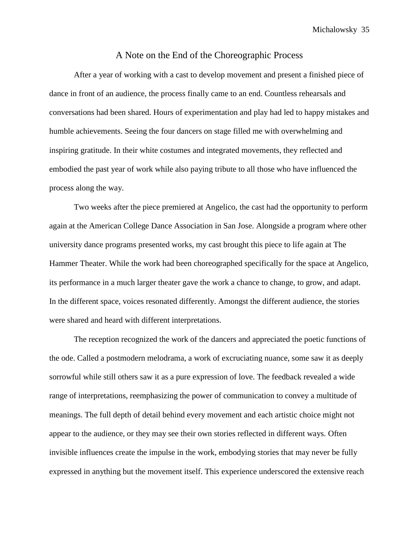#### A Note on the End of the Choreographic Process

After a year of working with a cast to develop movement and present a finished piece of dance in front of an audience, the process finally came to an end. Countless rehearsals and conversations had been shared. Hours of experimentation and play had led to happy mistakes and humble achievements. Seeing the four dancers on stage filled me with overwhelming and inspiring gratitude. In their white costumes and integrated movements, they reflected and embodied the past year of work while also paying tribute to all those who have influenced the process along the way.

Two weeks after the piece premiered at Angelico, the cast had the opportunity to perform again at the American College Dance Association in San Jose. Alongside a program where other university dance programs presented works, my cast brought this piece to life again at The Hammer Theater. While the work had been choreographed specifically for the space at Angelico, its performance in a much larger theater gave the work a chance to change, to grow, and adapt. In the different space, voices resonated differently. Amongst the different audience, the stories were shared and heard with different interpretations.

The reception recognized the work of the dancers and appreciated the poetic functions of the ode. Called a postmodern melodrama, a work of excruciating nuance, some saw it as deeply sorrowful while still others saw it as a pure expression of love. The feedback revealed a wide range of interpretations, reemphasizing the power of communication to convey a multitude of meanings. The full depth of detail behind every movement and each artistic choice might not appear to the audience, or they may see their own stories reflected in different ways. Often invisible influences create the impulse in the work, embodying stories that may never be fully expressed in anything but the movement itself. This experience underscored the extensive reach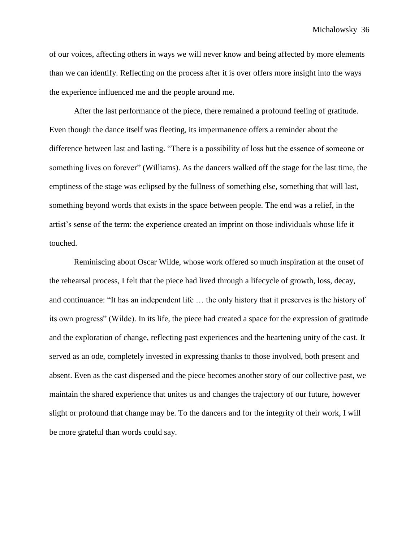of our voices, affecting others in ways we will never know and being affected by more elements than we can identify. Reflecting on the process after it is over offers more insight into the ways the experience influenced me and the people around me.

After the last performance of the piece, there remained a profound feeling of gratitude. Even though the dance itself was fleeting, its impermanence offers a reminder about the difference between last and lasting. "There is a possibility of loss but the essence of someone or something lives on forever" (Williams). As the dancers walked off the stage for the last time, the emptiness of the stage was eclipsed by the fullness of something else, something that will last, something beyond words that exists in the space between people. The end was a relief, in the artist's sense of the term: the experience created an imprint on those individuals whose life it touched.

Reminiscing about Oscar Wilde, whose work offered so much inspiration at the onset of the rehearsal process, I felt that the piece had lived through a lifecycle of growth, loss, decay, and continuance: "It has an independent life … the only history that it preserves is the history of its own progress" (Wilde). In its life, the piece had created a space for the expression of gratitude and the exploration of change, reflecting past experiences and the heartening unity of the cast. It served as an ode, completely invested in expressing thanks to those involved, both present and absent. Even as the cast dispersed and the piece becomes another story of our collective past, we maintain the shared experience that unites us and changes the trajectory of our future, however slight or profound that change may be. To the dancers and for the integrity of their work, I will be more grateful than words could say.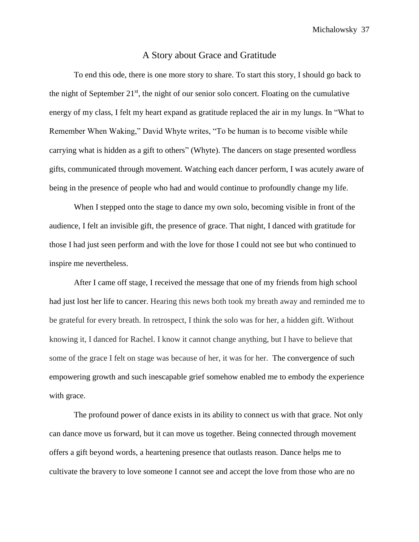#### A Story about Grace and Gratitude

To end this ode, there is one more story to share. To start this story, I should go back to the night of September  $21<sup>st</sup>$ , the night of our senior solo concert. Floating on the cumulative energy of my class, I felt my heart expand as gratitude replaced the air in my lungs. In "What to Remember When Waking," David Whyte writes, "To be human is to become visible while carrying what is hidden as a gift to others" (Whyte). The dancers on stage presented wordless gifts, communicated through movement. Watching each dancer perform, I was acutely aware of being in the presence of people who had and would continue to profoundly change my life.

When I stepped onto the stage to dance my own solo, becoming visible in front of the audience, I felt an invisible gift, the presence of grace. That night, I danced with gratitude for those I had just seen perform and with the love for those I could not see but who continued to inspire me nevertheless.

After I came off stage, I received the message that one of my friends from high school had just lost her life to cancer. Hearing this news both took my breath away and reminded me to be grateful for every breath. In retrospect, I think the solo was for her, a hidden gift. Without knowing it, I danced for Rachel. I know it cannot change anything, but I have to believe that some of the grace I felt on stage was because of her, it was for her. The convergence of such empowering growth and such inescapable grief somehow enabled me to embody the experience with grace.

The profound power of dance exists in its ability to connect us with that grace. Not only can dance move us forward, but it can move us together. Being connected through movement offers a gift beyond words, a heartening presence that outlasts reason. Dance helps me to cultivate the bravery to love someone I cannot see and accept the love from those who are no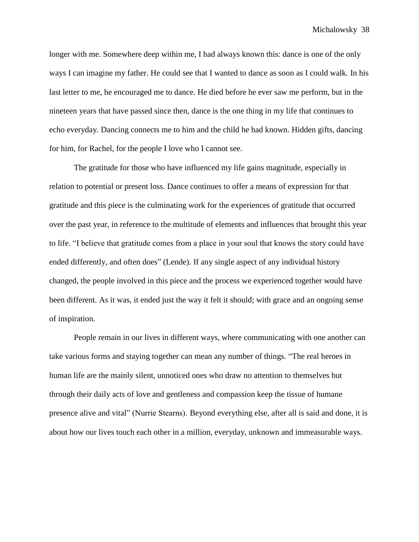longer with me. Somewhere deep within me, I had always known this: dance is one of the only ways I can imagine my father. He could see that I wanted to dance as soon as I could walk. In his last letter to me, he encouraged me to dance. He died before he ever saw me perform, but in the nineteen years that have passed since then, dance is the one thing in my life that continues to echo everyday. Dancing connects me to him and the child he had known. Hidden gifts, dancing for him, for Rachel, for the people I love who I cannot see.

The gratitude for those who have influenced my life gains magnitude, especially in relation to potential or present loss. Dance continues to offer a means of expression for that gratitude and this piece is the culminating work for the experiences of gratitude that occurred over the past year, in reference to the multitude of elements and influences that brought this year to life. "I believe that gratitude comes from a place in your soul that knows the story could have ended differently, and often does" (Lende). If any single aspect of any individual history changed, the people involved in this piece and the process we experienced together would have been different. As it was, it ended just the way it felt it should; with grace and an ongoing sense of inspiration.

People remain in our lives in different ways, where communicating with one another can take various forms and staying together can mean any number of things. "The real heroes in human life are the mainly silent, unnoticed ones who draw no attention to themselves but through their daily acts of love and gentleness and compassion keep the tissue of humane presence alive and vital" (Nurrie Stearns). Beyond everything else, after all is said and done, it is about how our lives touch each other in a million, everyday, unknown and immeasurable ways.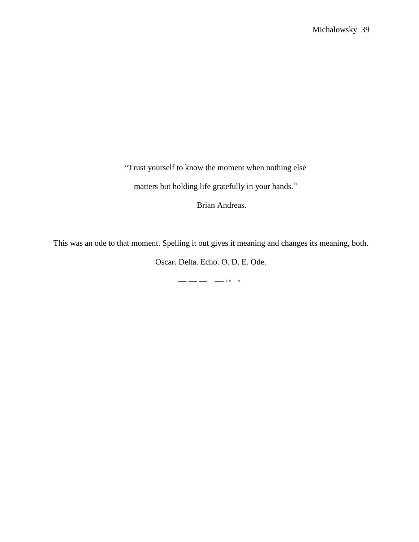"Trust yourself to know the moment when nothing else

matters but holding life gratefully in your hands."

Brian Andreas.

This was an ode to that moment. Spelling it out gives it meaning and changes its meaning, both.

Oscar. Delta. Echo. O. D. E. Ode.

**— — — — ° ° °**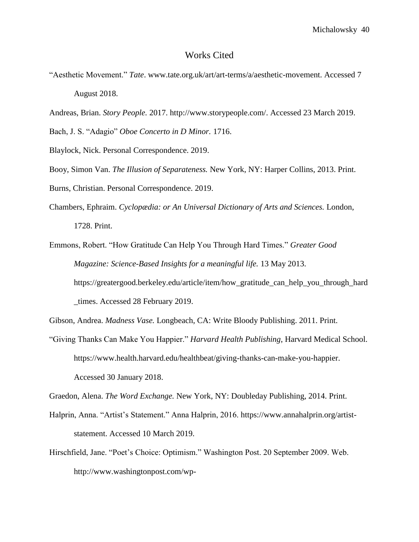#### Works Cited

- "Aesthetic Movement." *Tate*. www.tate.org.uk/art/art-terms/a/aesthetic-movement. Accessed 7 August 2018.
- Andreas, Brian. *Story People.* 2017. http://www.storypeople.com/. Accessed 23 March 2019.
- Bach, J. S. "Adagio" *Oboe Concerto in D Minor.* 1716.
- Blaylock, Nick. Personal Correspondence. 2019.
- Booy, Simon Van. *The Illusion of Separateness.* New York, NY: Harper Collins, 2013. Print.
- Burns, Christian. Personal Correspondence. 2019.
- Chambers, Ephraim. *Cyclopædia: or An Universal Dictionary of Arts and Sciences.* London, 1728. Print.
- Emmons, Robert. "How Gratitude Can Help You Through Hard Times." *Greater Good Magazine: Science-Based Insights for a meaningful life.* 13 May 2013. https://greatergood.berkeley.edu/article/item/how\_gratitude\_can\_help\_you\_through\_hard \_times. Accessed 28 February 2019.
- Gibson, Andrea. *Madness Vase.* Longbeach, CA: Write Bloody Publishing. 2011. Print.
- "Giving Thanks Can Make You Happier." *Harvard Health Publishing*, Harvard Medical School. https://www.health.harvard.edu/healthbeat/giving-thanks-can-make-you-happier. Accessed 30 January 2018.

Graedon, Alena. *The Word Exchange.* New York, NY: Doubleday Publishing, 2014. Print.

- Halprin, Anna. "Artist's Statement." Anna Halprin, 2016. https://www.annahalprin.org/artiststatement. Accessed 10 March 2019.
- Hirschfield, Jane. "Poet's Choice: Optimism." Washington Post. 20 September 2009. Web. http://www.washingtonpost.com/wp-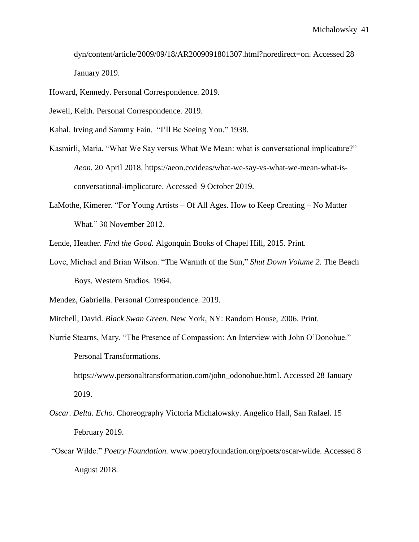dyn/content/article/2009/09/18/AR2009091801307.html?noredirect=on. Accessed 28 January 2019.

Howard, Kennedy. Personal Correspondence. 2019.

Jewell, Keith. Personal Correspondence. 2019.

Kahal, Irving and Sammy Fain. "I'll Be Seeing You." 1938.

- Kasmirli, Maria. "What We Say versus What We Mean: what is conversational implicature?" *Aeon.* 20 April 2018. https://aeon.co/ideas/what-we-say-vs-what-we-mean-what-isconversational-implicature. Accessed 9 October 2019.
- LaMothe, Kimerer. "For Young Artists Of All Ages. How to Keep Creating No Matter What." 30 November 2012.

Lende, Heather. *Find the Good.* Algonquin Books of Chapel Hill, 2015. Print.

Love, Michael and Brian Wilson. "The Warmth of the Sun," *Shut Down Volume 2.* The Beach Boys, Western Studios. 1964.

Mendez, Gabriella. Personal Correspondence. 2019.

Mitchell, David. *Black Swan Green.* New York, NY: Random House, 2006. Print.

Nurrie Stearns, Mary. "The Presence of Compassion: An Interview with John O'Donohue." Personal Transformations. https://www.personaltransformation.com/john\_odonohue.html. Accessed 28 January

2019.

- *Oscar. Delta. Echo.* Choreography Victoria Michalowsky. Angelico Hall, San Rafael. 15 February 2019.
- "Oscar Wilde." *Poetry Foundation.* www.poetryfoundation.org/poets/oscar-wilde. Accessed 8 August 2018.